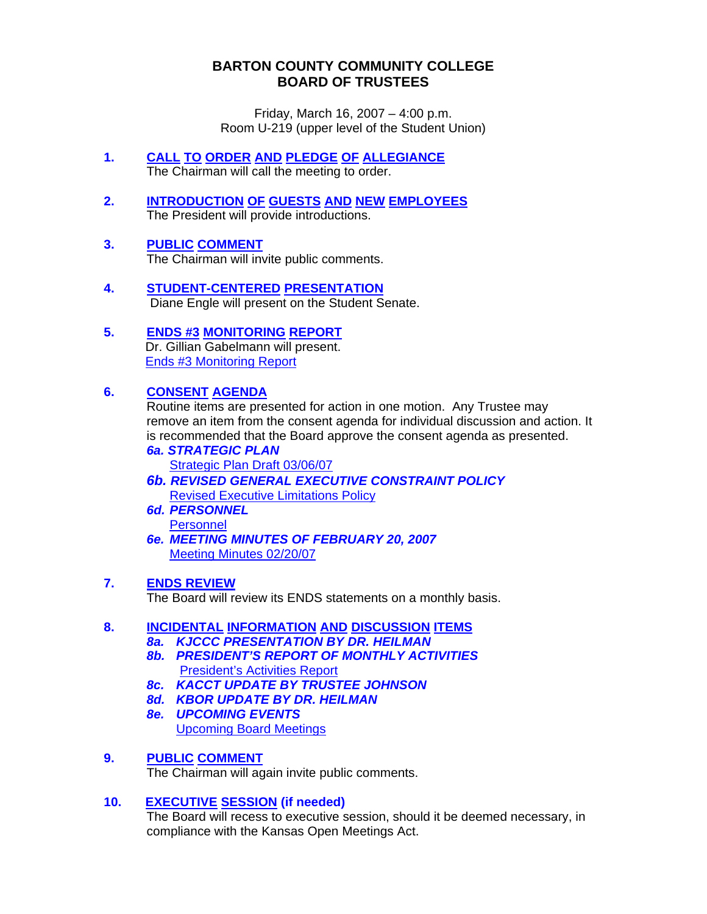## **BARTON COUNTY COMMUNITY COLLEGE BOARD OF TRUSTEES**

Friday, March 16, 2007 – 4:00 p.m. Room U-219 (upper level of the Student Union)

- **1. CALL TO ORDER AND PLEDGE OF ALLEGIANCE** The Chairman will call the meeting to order.
- **2. INTRODUCTION OF GUESTS AND NEW EMPLOYEES** The President will provide introductions.
- **3. PUBLIC COMMENT** The Chairman will invite public comments.
- **4. STUDENT-CENTERED PRESENTATION** Diane Engle will present on the Student Senate.
- **5. ENDS #3 MONITORING REPORT**  Dr. Gillian Gabelmann will present. [Ends #3 Monitoring Report](http://www.bartonccc.edu/boardoftrustees/boardbooks/06_07/031607/monitoring_report_end3mar2007.pdf)

## **6. CONSENT AGENDA**

Routine items are presented for action in one motion. Any Trustee may remove an item from the consent agenda for individual discussion and action. It is recommended that the Board approve the consent agenda as presented.

- *6a. STRATEGIC PLAN* [Strategic Plan Draft 03/06/07](http://www.bartonccc.edu/boardoftrustees/boardbooks/06_07/031607/strategic_plan_draft030607.pdf)
- *6b. REVISED GENERAL EXECUTIVE CONSTRAINT POLICY*  **[Revised Executive Limitations Policy](http://www.bartonccc.edu/boardoftrustees/boardbooks/06_07/031607/revised_executive_limitations_policy.pdf)**
- *6d. PERSONNEL*  **[Personnel](http://www.bartonccc.edu/boardoftrustees/boardbooks/06_07/031607/personnel.pdf)**
- *6e. MEETING MINUTES OF FEBRUARY 20, 2007*  [Meeting Minutes 02/20/07](http://www.bartonccc.edu/boardoftrustees/boardbooks/06_07/031607/botminutes022007.pdf)

## **7. ENDS REVIEW**

The Board will review its ENDS statements on a monthly basis.

# **8. INCIDENTAL INFORMATION AND DISCUSSION ITEMS**

- *8a. KJCCC PRESENTATION BY DR. HEILMAN*
- *8b. PRESIDENT'S REPORT OF MONTHLY ACTIVITIES*  **[President's Activities Report](http://www.bartonccc.edu/boardoftrustees/boardbooks/06_07/031607/presidentsactivities_formarch07_boardbook.pdf)**
- *8c. KACCT UPDATE BY TRUSTEE JOHNSON*
- *8d. KBOR UPDATE BY DR. HEILMAN*
- *8e. UPCOMING EVENTS*  **[Upcoming Board Meetings](http://www.bartonccc.edu/boardoftrustees/boardbooks/06_07/031607/upcoming_board_meetings.pdf)**

## **9. PUBLIC COMMENT**

The Chairman will again invite public comments.

## **10. EXECUTIVE SESSION (if needed)**

 The Board will recess to executive session, should it be deemed necessary, in compliance with the Kansas Open Meetings Act.